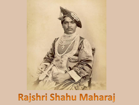

## Rajshri Shahu Maharaj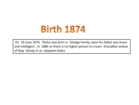## **Birth 1874**

On 26 June 1874, Shahu was born in Ghatge Family, were his father was brave and intelligent , In 1884 as there is no higher person to crown Anandibai widow of Raja Shivaji IV as adopted shahu.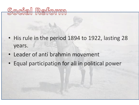

- His rule in the period 1894 to 1922, lasting 28 years.
- Leader of anti brahmin movement
- Equal participation for all in political power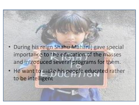- During his reign Shahu Maharaj gave special importance to the education of the masses and introduced several programs for them.
- He want to make his people educated rather to be intelligent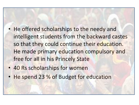- He offered scholarships to the needy and intelligent students from the backward castes so that they could continue their education. He made primary education compulsory and free for all in his Princely State
- 40 Rs scholarships for women
- He spend 23 % of Budget for education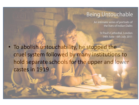## **Being Untouchable**

An intimate series of portraits of the lives of Indian Dalits

> St Paul's Cathedral, London 14th June - 6th July 2011

• To abolish untouchability, he stopped the cruel system followed by many institutions to hold separate schools for the upper and lower castes in 1919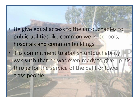• He give equal access to the untouchables to public utilities like common wells, schools, hospitals and common buildings.

His commitment to abolish untouchability was such that he was even ready to give up his throne for the service of the dalit or lower class people.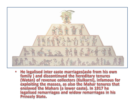

He legalised inter caste marriages (aslo from his own  $\bullet$ family ) and discontinued the hereditary tenures (Watan) of revenue collectors (Kulkarni), infamous for exploiting the masses, as also the Mahar tenures that enslaved the Mahars (a lower caste). In 1917 he legalised remarriages and widow remarriages in his **Princely State.**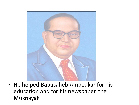

• He helped Babasaheb Ambedkar for his education and for his newspaper, the Muknayak